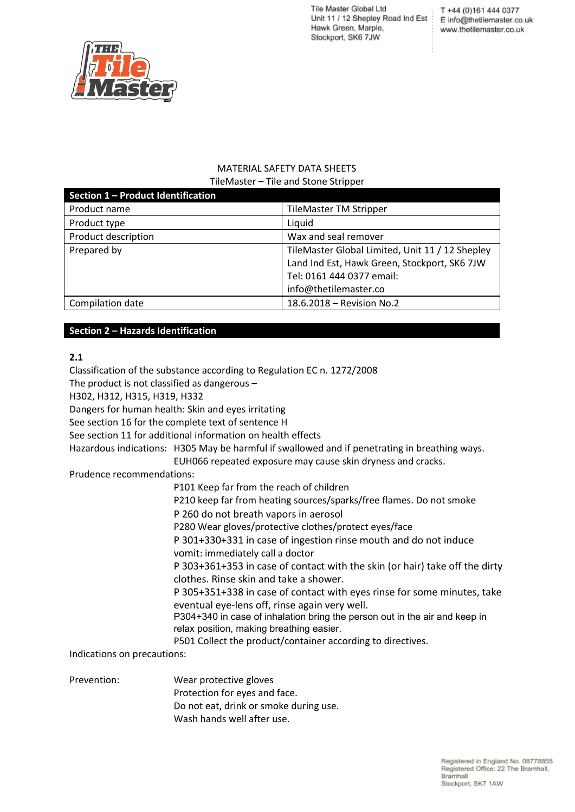T +44 (0)161 444 0377 E info@thetilemaster.co.uk www.thetilemaster.co.uk



#### MATERIAL SAFETY DATA SHEETS TileMaster – Tile and Stone Stripper

| Section 1 - Product Identification |                                                 |
|------------------------------------|-------------------------------------------------|
| Product name                       | <b>TileMaster TM Stripper</b>                   |
| Product type                       | Liquid                                          |
| Product description                | Wax and seal remover                            |
| Prepared by                        | TileMaster Global Limited, Unit 11 / 12 Shepley |
|                                    | Land Ind Est, Hawk Green, Stockport, SK6 7JW    |
|                                    | Tel: 0161 444 0377 email:                       |
|                                    | info@thetilemaster.co                           |
| Compilation date                   | 18.6.2018 - Revision No.2                       |

## **Section 2 – Hazards Identification**

### **2.1**

Classification of the substance according to Regulation EC n. 1272/2008 The product is not classified as dangerous – H302, H312, H315, H319, H332 Dangers for human health: Skin and eyes irritating See section 16 for the complete text of sentence H See section 11 for additional information on health effects Hazardous indications: H305 May be harmful if swallowed and if penetrating in breathing ways. EUH066 repeated exposure may cause skin dryness and cracks. Prudence recommendations: P101 Keep far from the reach of children P210 keep far from heating sources/sparks/free flames. Do not smoke P 260 do not breath vapors in aerosol P280 Wear gloves/protective clothes/protect eyes/face P 301+330+331 in case of ingestion rinse mouth and do not induce vomit: immediately call a doctor P 303+361+353 in case of contact with the skin (or hair) take off the dirty clothes. Rinse skin and take a shower. P 305+351+338 in case of contact with eyes rinse for some minutes, take eventual eye-lens off, rinse again very well. P304+340 in case of inhalation bring the person out in the air and keep in relax position, making breathing easier. P501 Collect the product/container according to directives. Indications on precautions:

Prevention: Wear protective gloves Protection for eyes and face. Do not eat, drink or smoke during use. Wash hands well after use.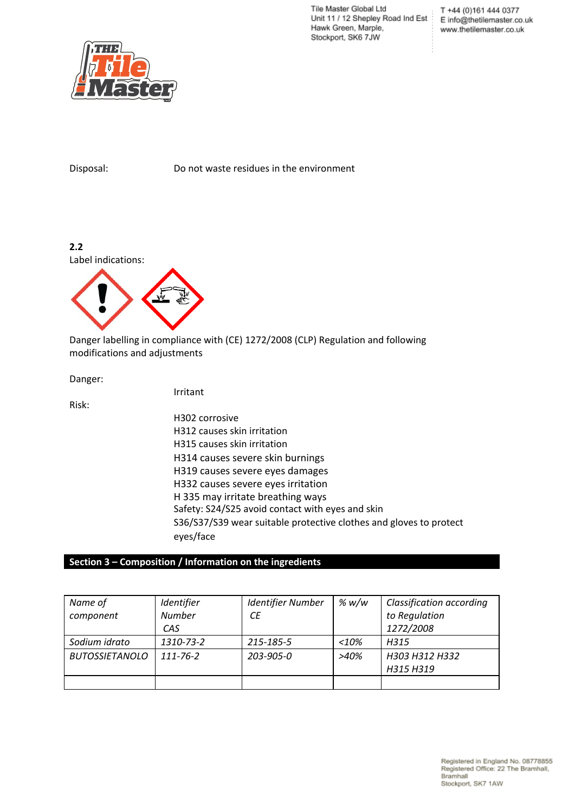T +44 (0)161 444 0377 E info@thetilemaster.co.uk www.thetilemaster.co.uk



Disposal: Do not waste residues in the environment

**2.2** Label indications:



Danger labelling in compliance with (CE) 1272/2008 (CLP) Regulation and following modifications and adjustments

Danger:

Risk:

H302 corrosive H312 causes skin irritation H315 causes skin irritation H314 causes severe skin burnings H319 causes severe eyes damages H332 causes severe eyes irritation H 335 may irritate breathing ways Safety: S24/S25 avoid contact with eyes and skin S36/S37/S39 wear suitable protective clothes and gloves to protect eyes/face

### **Section 3 – Composition / Information on the ingredients**

Irritant

| Name of               | Identifier     | <b>Identifier Number</b> | % w/w   | <b>Classification according</b> |
|-----------------------|----------------|--------------------------|---------|---------------------------------|
| component             | <b>Number</b>  | СE                       |         | to Regulation                   |
|                       | CAS            |                          |         | 1272/2008                       |
| Sodium idrato         | 1310-73-2      | 215-185-5                | $<$ 10% | H315                            |
| <b>BUTOSSIETANOLO</b> | $111 - 76 - 2$ | 203-905-0                | >40%    | H303 H312 H332                  |
|                       |                |                          |         | H315 H319                       |
|                       |                |                          |         |                                 |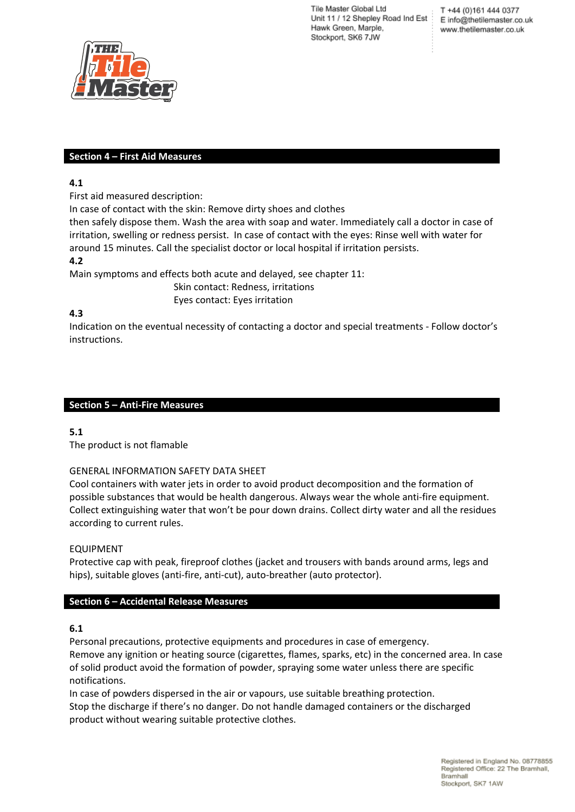T +44 (0)161 444 0377 E info@thetilemaster.co.uk www.thetilemaster.co.uk



### **Section 4 – First Aid Measures**

### **4.1**

First aid measured description:

In case of contact with the skin: Remove dirty shoes and clothes

then safely dispose them. Wash the area with soap and water. Immediately call a doctor in case of irritation, swelling or redness persist. In case of contact with the eyes: Rinse well with water for around 15 minutes. Call the specialist doctor or local hospital if irritation persists.

### **4.2**

Main symptoms and effects both acute and delayed, see chapter 11:

Skin contact: Redness, irritations Eyes contact: Eyes irritation

### **4.3**

Indication on the eventual necessity of contacting a doctor and special treatments - Follow doctor's instructions.

### **Section 5 – Anti-Fire Measures**

## **5.1**

The product is not flamable

#### GENERAL INFORMATION SAFETY DATA SHEET

Cool containers with water jets in order to avoid product decomposition and the formation of possible substances that would be health dangerous. Always wear the whole anti-fire equipment. Collect extinguishing water that won't be pour down drains. Collect dirty water and all the residues according to current rules.

#### EQUIPMENT

Protective cap with peak, fireproof clothes (jacket and trousers with bands around arms, legs and hips), suitable gloves (anti-fire, anti-cut), auto-breather (auto protector).

## **Section 6 – Accidental Release Measures**

## **6.1**

Personal precautions, protective equipments and procedures in case of emergency. Remove any ignition or heating source (cigarettes, flames, sparks, etc) in the concerned area. In case of solid product avoid the formation of powder, spraying some water unless there are specific notifications.

In case of powders dispersed in the air or vapours, use suitable breathing protection. Stop the discharge if there's no danger. Do not handle damaged containers or the discharged product without wearing suitable protective clothes.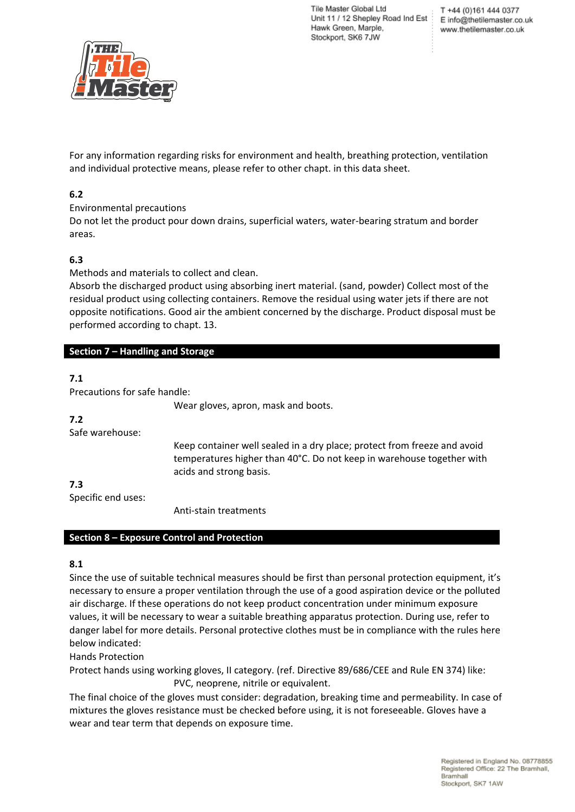

For any information regarding risks for environment and health, breathing protection, ventilation and individual protective means, please refer to other chapt. in this data sheet.

## **6.2**

Environmental precautions

Do not let the product pour down drains, superficial waters, water-bearing stratum and border areas.

## **6.3**

Methods and materials to collect and clean.

Absorb the discharged product using absorbing inert material. (sand, powder) Collect most of the residual product using collecting containers. Remove the residual using water jets if there are not opposite notifications. Good air the ambient concerned by the discharge. Product disposal must be performed according to chapt. 13.

## **Section 7 – Handling and Storage**

## **7.1**

Precautions for safe handle:

Wear gloves, apron, mask and boots.

#### **7.2**

Safe warehouse:

Keep container well sealed in a dry place; protect from freeze and avoid temperatures higher than 40°C. Do not keep in warehouse together with acids and strong basis.

**7.3**

Specific end uses:

Anti-stain treatments

#### **Section 8 – Exposure Control and Protection**

## **8.1**

Since the use of suitable technical measures should be first than personal protection equipment, it's necessary to ensure a proper ventilation through the use of a good aspiration device or the polluted air discharge. If these operations do not keep product concentration under minimum exposure values, it will be necessary to wear a suitable breathing apparatus protection. During use, refer to danger label for more details. Personal protective clothes must be in compliance with the rules here below indicated:

Hands Protection

Protect hands using working gloves, II category. (ref. Directive 89/686/CEE and Rule EN 374) like: PVC, neoprene, nitrile or equivalent.

The final choice of the gloves must consider: degradation, breaking time and permeability. In case of mixtures the gloves resistance must be checked before using, it is not foreseeable. Gloves have a wear and tear term that depends on exposure time.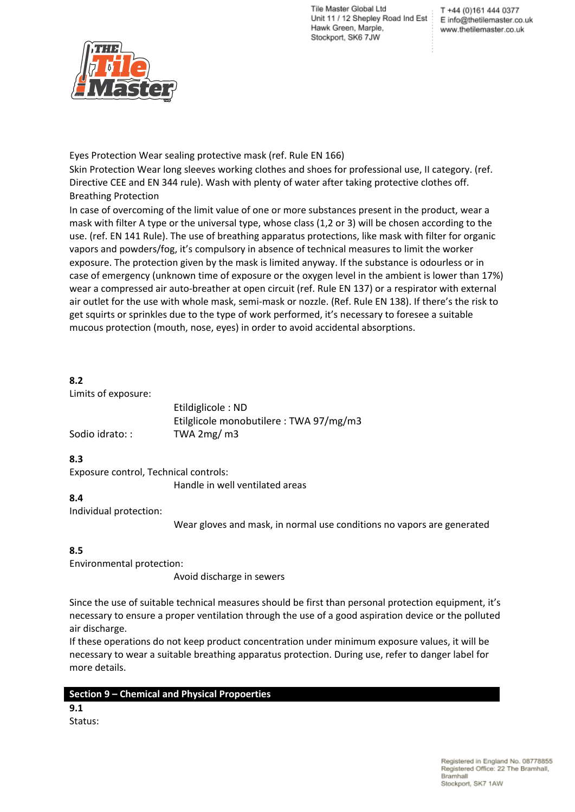

Eyes Protection Wear sealing protective mask (ref. Rule EN 166)

Skin Protection Wear long sleeves working clothes and shoes for professional use, II category. (ref. Directive CEE and EN 344 rule). Wash with plenty of water after taking protective clothes off. Breathing Protection

In case of overcoming of the limit value of one or more substances present in the product, wear a mask with filter A type or the universal type, whose class (1,2 or 3) will be chosen according to the use. (ref. EN 141 Rule). The use of breathing apparatus protections, like mask with filter for organic vapors and powders/fog, it's compulsory in absence of technical measures to limit the worker exposure. The protection given by the mask is limited anyway. If the substance is odourless or in case of emergency (unknown time of exposure or the oxygen level in the ambient is lower than 17%) wear a compressed air auto-breather at open circuit (ref. Rule EN 137) or a respirator with external air outlet for the use with whole mask, semi-mask or nozzle. (Ref. Rule EN 138). If there's the risk to get squirts or sprinkles due to the type of work performed, it's necessary to foresee a suitable mucous protection (mouth, nose, eyes) in order to avoid accidental absorptions.

## **8.2**

Limits of exposure:

|                | Etildiglicole: ND                       |
|----------------|-----------------------------------------|
|                | Etilglicole monobutilere : TWA 97/mg/m3 |
| Sodio idrato:: | TWA $2mg/m3$                            |

# **8.3**

Exposure control, Technical controls:

Handle in well ventilated areas

## **8.4**

Individual protection:

Wear gloves and mask, in normal use conditions no vapors are generated

## **8.5**

Environmental protection:

Avoid discharge in sewers

Since the use of suitable technical measures should be first than personal protection equipment, it's necessary to ensure a proper ventilation through the use of a good aspiration device or the polluted air discharge.

If these operations do not keep product concentration under minimum exposure values, it will be necessary to wear a suitable breathing apparatus protection. During use, refer to danger label for more details.

# **Section 9 – Chemical and Physical Propoerties**

**9.1** Status: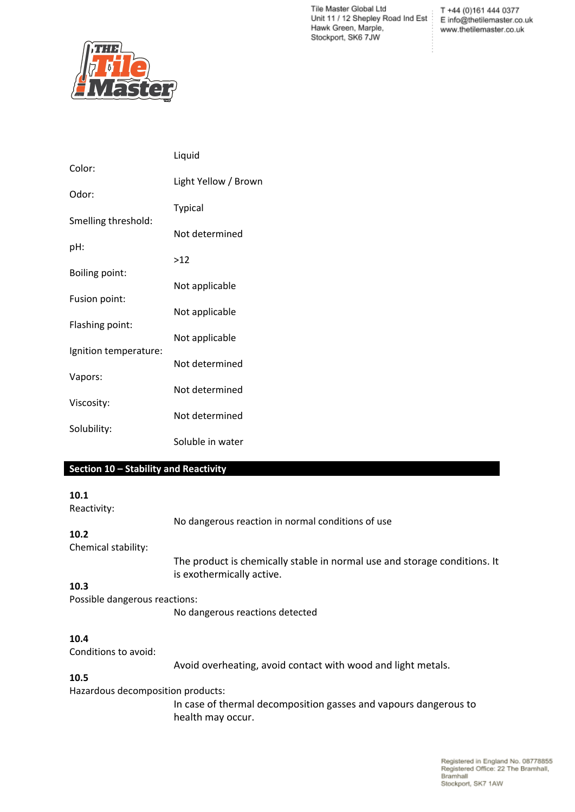Tile Master Global Ltd T +44 (0)161 444 0377<br>Unit 11 / 12 Shepley Road Ind Est<br>E info@thetilemaster.co.uk Hawk Green, Marple, Stockport, SK6 7JW

T +44 (0)161 444 0377 www.thetilemaster.co.uk



|                       | Liquid               |  |  |
|-----------------------|----------------------|--|--|
| Color:                | Light Yellow / Brown |  |  |
| Odor:                 |                      |  |  |
| Smelling threshold:   | <b>Typical</b>       |  |  |
|                       | Not determined       |  |  |
| pH:                   | >12                  |  |  |
| <b>Boiling point:</b> | Not applicable       |  |  |
| Fusion point:         |                      |  |  |
| Flashing point:       | Not applicable       |  |  |
|                       | Not applicable       |  |  |
| Ignition temperature: | Not determined       |  |  |
| Vapors:               |                      |  |  |
| Viscosity:            | Not determined       |  |  |
|                       | Not determined       |  |  |
| Solubility:           | Soluble in water     |  |  |

### **Section 10 – Stability and Reactivity**

#### **10.1**

Reactivity:

No dangerous reaction in normal conditions of use

### **10.2**

Chemical stability:

The product is chemically stable in normal use and storage conditions. It is exothermically active.

### **10.3**

Possible dangerous reactions:

No dangerous reactions detected

#### **10.4**

Conditions to avoid:

Avoid overheating, avoid contact with wood and light metals.

# **10.5**

Hazardous decomposition products:

In case of thermal decomposition gasses and vapours dangerous to health may occur.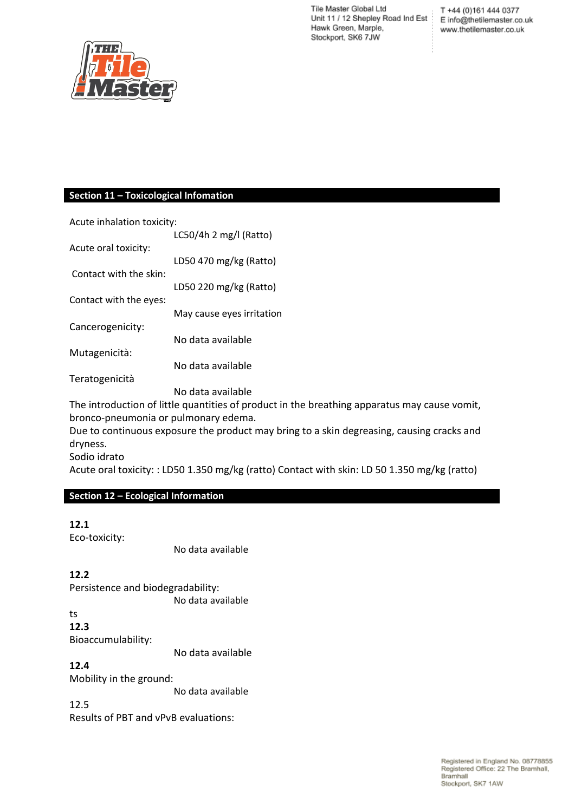Tile Master Global Ltd T +44 (0)161 444 0377<br>Unit 11 / 12 Shepley Road Ind Est<br>E info@thetilemaster.co.uk Hawk Green, Marple, Stockport, SK6 7JW

T +44 (0)161 444 0377 www.thetilemaster.co.uk



### **Section 11 – Toxicological Infomation**

| Acute inhalation toxicity: |                           |  |
|----------------------------|---------------------------|--|
|                            | LC50/4h 2 mg/l (Ratto)    |  |
| Acute oral toxicity:       |                           |  |
|                            | LD50 470 mg/kg (Ratto)    |  |
| Contact with the skin:     |                           |  |
|                            | LD50 220 mg/kg (Ratto)    |  |
| Contact with the eyes:     |                           |  |
|                            | May cause eyes irritation |  |
| Cancerogenicity:           |                           |  |
|                            | No data available         |  |
| Mutagenicità:              |                           |  |
|                            | No data available         |  |
| Teratogenicità             |                           |  |
|                            | No data available         |  |

The introduction of little quantities of product in the breathing apparatus may cause vomit, bronco-pneumonia or pulmonary edema.

Due to continuous exposure the product may bring to a skin degreasing, causing cracks and dryness.

Sodio idrato

Acute oral toxicity: : LD50 1.350 mg/kg (ratto) Contact with skin: LD 50 1.350 mg/kg (ratto)

## **Section 12 – Ecological Information**

## **12.1**

Eco-toxicity:

No data available

### **12.2**

Persistence and biodegradability: No data available

ts **12.3**

Bioaccumulability:

No data available

# **12.4**

Mobility in the ground:

No data available

12.5

Results of PBT and vPvB evaluations: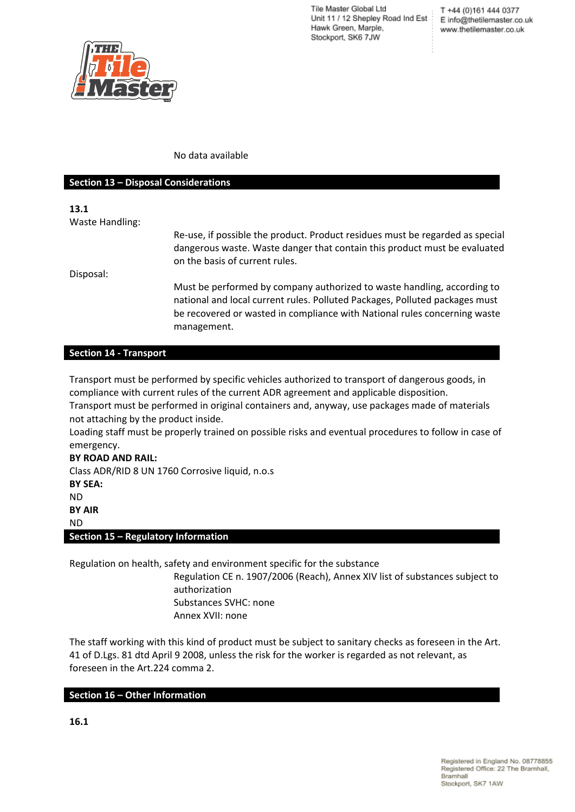T +44 (0)161 444 0377 E info@thetilemaster.co.uk www.thetilemaster.co.uk



#### No data available

management.

#### **Section 13 – Disposal Considerations**

**13.1** Waste Handling: Re-use, if possible the product. Product residues must be regarded as special dangerous waste. Waste danger that contain this product must be evaluated on the basis of current rules. Disposal: Must be performed by company authorized to waste handling, according to national and local current rules. Polluted Packages, Polluted packages must be recovered or wasted in compliance with National rules concerning waste

#### **Section 14 - Transport**

Transport must be performed by specific vehicles authorized to transport of dangerous goods, in compliance with current rules of the current ADR agreement and applicable disposition.

Transport must be performed in original containers and, anyway, use packages made of materials not attaching by the product inside.

Loading staff must be properly trained on possible risks and eventual procedures to follow in case of emergency.

### **BY ROAD AND RAIL:**

Class ADR/RID 8 UN 1760 Corrosive liquid, n.o.s **BY SEA:** ND **BY AIR** ND **Section 15 – Regulatory Information**

Regulation on health, safety and environment specific for the substance

Regulation CE n. 1907/2006 (Reach), Annex XIV list of substances subject to authorization Substances SVHC: none Annex XVII: none

The staff working with this kind of product must be subject to sanitary checks as foreseen in the Art. 41 of D.Lgs. 81 dtd April 9 2008, unless the risk for the worker is regarded as not relevant, as foreseen in the Art.224 comma 2.

#### **Section 16 – Other Information**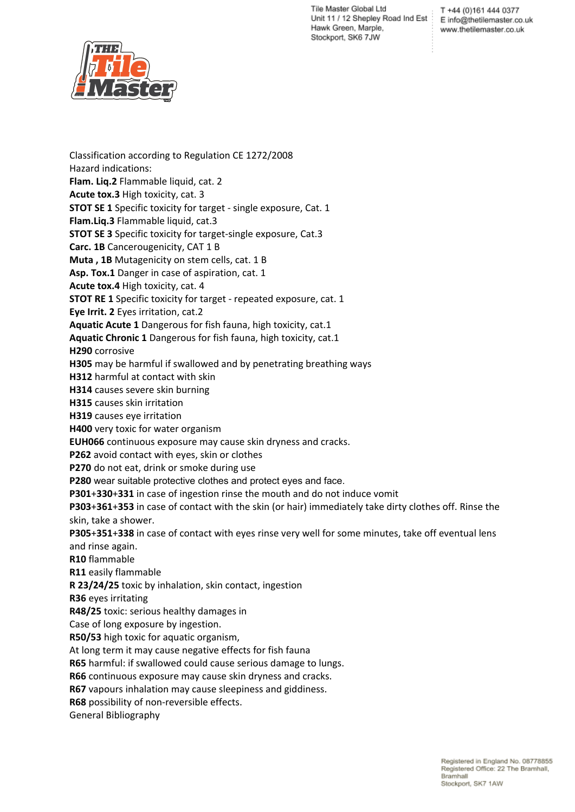T +44 (0)161 444 0377 E info@thetilemaster.co.uk www.thetilemaster.co.uk



Classification according to Regulation CE 1272/2008 Hazard indications: **Flam. Liq.2** Flammable liquid, cat. 2 **Acute tox.3** High toxicity, cat. 3 **STOT SE 1** Specific toxicity for target - single exposure, Cat. 1 **Flam.Liq.3** Flammable liquid, cat.3 **STOT SE 3** Specific toxicity for target-single exposure, Cat.3 **Carc. 1B** Cancerougenicity, CAT 1 B **Muta , 1B** Mutagenicity on stem cells, cat. 1 B **Asp. Tox.1** Danger in case of aspiration, cat. 1 **Acute tox.4** High toxicity, cat. 4 **STOT RE 1** Specific toxicity for target - repeated exposure, cat. 1 **Eye Irrit. 2** Eyes irritation, cat.2 **Aquatic Acute 1** Dangerous for fish fauna, high toxicity, cat.1 **Aquatic Chronic 1** Dangerous for fish fauna, high toxicity, cat.1 **H290** corrosive **H305** may be harmful if swallowed and by penetrating breathing ways **H312** harmful at contact with skin **H314** causes severe skin burning **H315** causes skin irritation **H319** causes eye irritation **H400** very toxic for water organism **EUH066** continuous exposure may cause skin dryness and cracks. **P262** avoid contact with eyes, skin or clothes **P270** do not eat, drink or smoke during use **P280** wear suitable protective clothes and protect eyes and face. **P301**+**330**+**331** in case of ingestion rinse the mouth and do not induce vomit **P303**+**361**+**353** in case of contact with the skin (or hair) immediately take dirty clothes off. Rinse the skin, take a shower. **P305**+**351**+**338** in case of contact with eyes rinse very well for some minutes, take off eventual lens and rinse again. **R10** flammable **R11** easily flammable **R 23/24/25** toxic by inhalation, skin contact, ingestion **R36** eyes irritating **R48/25** toxic: serious healthy damages in Case of long exposure by ingestion. **R50/53** high toxic for aquatic organism, At long term it may cause negative effects for fish fauna **R65** harmful: if swallowed could cause serious damage to lungs. **R66** continuous exposure may cause skin dryness and cracks. **R67** vapours inhalation may cause sleepiness and giddiness. **R68** possibility of non-reversible effects. General Bibliography